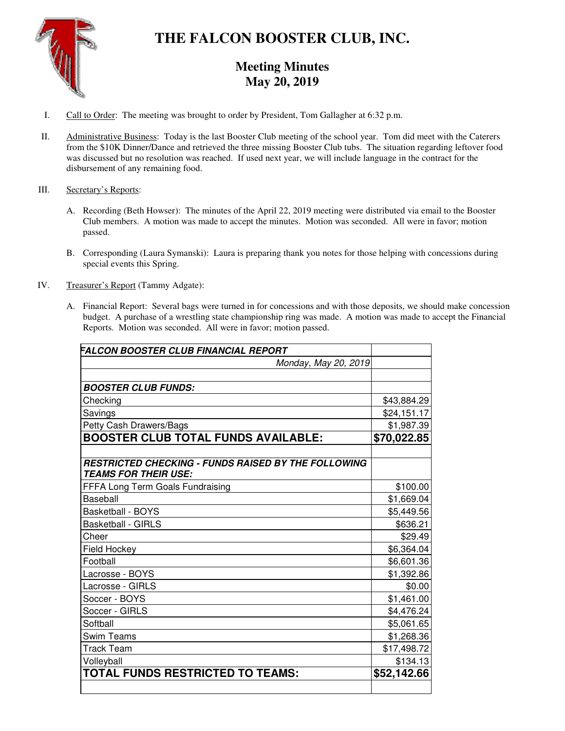

# **THE FALCON BOOSTER CLUB, INC.**

## **Meeting Minutes May 20, 2019**

- I. Call to Order: The meeting was brought to order by President, Tom Gallagher at 6:32 p.m.
- II. Administrative Business: Today is the last Booster Club meeting of the school year. Tom did meet with the Caterers from the \$10K Dinner/Dance and retrieved the three missing Booster Club tubs. The situation regarding leftover food was discussed but no resolution was reached. If used next year, we will include language in the contract for the disbursement of any remaining food.

### III. Secretary's Reports:

- A. Recording (Beth Howser): The minutes of the April 22, 2019 meeting were distributed via email to the Booster Club members. A motion was made to accept the minutes. Motion was seconded. All were in favor; motion passed.
- B. Corresponding (Laura Symanski): Laura is preparing thank you notes for those helping with concessions during special events this Spring.
- IV. Treasurer's Report (Tammy Adgate):
	- A. Financial Report: Several bags were turned in for concessions and with those deposits, we should make concession budget. A purchase of a wrestling state championship ring was made. A motion was made to accept the Financial Reports. Motion was seconded. All were in favor; motion passed.

| FALCON BOOSTER CLUB FINANCIAL REPORT                                                      |             |
|-------------------------------------------------------------------------------------------|-------------|
| Monday, May 20, 2019                                                                      |             |
|                                                                                           |             |
| <b>BOOSTER CLUB FUNDS:</b>                                                                |             |
| Checking                                                                                  | \$43,884.29 |
| Savings                                                                                   | \$24,151.17 |
| Petty Cash Drawers/Bags                                                                   | \$1,987.39  |
| <b>BOOSTER CLUB TOTAL FUNDS AVAILABLE:</b>                                                | \$70,022.85 |
| <b>RESTRICTED CHECKING - FUNDS RAISED BY THE FOLLOWING</b><br><b>TEAMS FOR THEIR USE:</b> |             |
| FFFA Long Term Goals Fundraising                                                          | \$100.00    |
| <b>Baseball</b>                                                                           | \$1,669.04  |
| <b>Basketball - BOYS</b>                                                                  | \$5,449.56  |
| <b>Basketball - GIRLS</b>                                                                 | \$636.21    |
| Cheer                                                                                     | \$29.49     |
| Field Hockey                                                                              | \$6,364.04  |
| Football                                                                                  | \$6,601.36  |
| Lacrosse - BOYS                                                                           | \$1,392.86  |
| Lacrosse - GIRLS                                                                          | \$0.00      |
| Soccer - BOYS                                                                             | \$1,461.00  |
| Soccer - GIRLS                                                                            | \$4,476.24  |
| Softball                                                                                  | \$5,061.65  |
| <b>Swim Teams</b>                                                                         | \$1,268.36  |
| <b>Track Team</b>                                                                         | \$17,498.72 |
| Volleyball                                                                                | \$134.13    |
| TOTAL FUNDS RESTRICTED TO TEAMS:                                                          | \$52,142.66 |
|                                                                                           |             |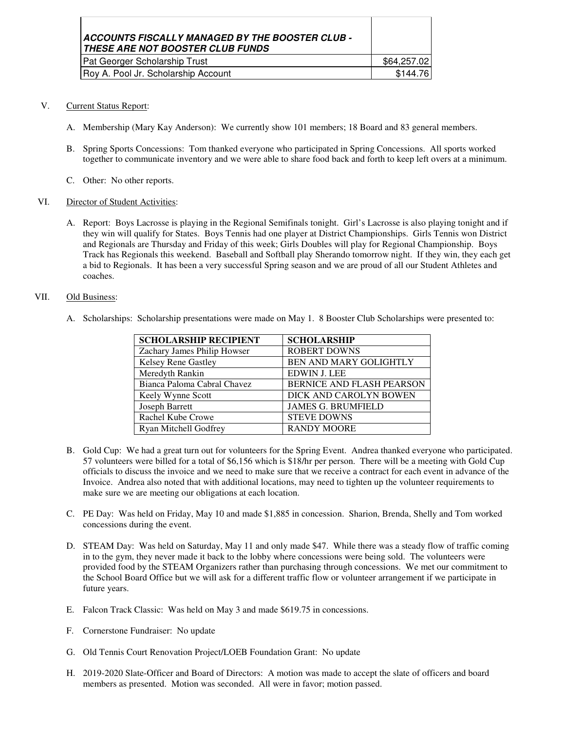| ACCOUNTS FISCALLY MANAGED BY THE BOOSTER CLUB -<br>THESE ARE NOT BOOSTER CLUB FUNDS |             |
|-------------------------------------------------------------------------------------|-------------|
| Pat Georger Scholarship Trust                                                       | \$64,257.02 |
| Roy A. Pool Jr. Scholarship Account                                                 | \$144.76    |

- V. Current Status Report:
	- A. Membership (Mary Kay Anderson): We currently show 101 members; 18 Board and 83 general members.
	- B. Spring Sports Concessions: Tom thanked everyone who participated in Spring Concessions. All sports worked together to communicate inventory and we were able to share food back and forth to keep left overs at a minimum.
	- C. Other: No other reports.

#### VI. Director of Student Activities:

A. Report: Boys Lacrosse is playing in the Regional Semifinals tonight. Girl's Lacrosse is also playing tonight and if they win will qualify for States. Boys Tennis had one player at District Championships. Girls Tennis won District and Regionals are Thursday and Friday of this week; Girls Doubles will play for Regional Championship. Boys Track has Regionals this weekend. Baseball and Softball play Sherando tomorrow night. If they win, they each get a bid to Regionals. It has been a very successful Spring season and we are proud of all our Student Athletes and coaches.

#### VII. Old Business:

A. Scholarships: Scholarship presentations were made on May 1. 8 Booster Club Scholarships were presented to:

| <b>SCHOLARSHIP RECIPIENT</b> | <b>SCHOLARSHIP</b>            |
|------------------------------|-------------------------------|
| Zachary James Philip Howser  | <b>ROBERT DOWNS</b>           |
| Kelsey Rene Gastley          | <b>BEN AND MARY GOLIGHTLY</b> |
| Meredyth Rankin              | <b>EDWIN J. LEE</b>           |
| Bianca Paloma Cabral Chavez  | BERNICE AND FLASH PEARSON     |
| Keely Wynne Scott            | DICK AND CAROLYN BOWEN        |
| <b>Joseph Barrett</b>        | <b>JAMES G. BRUMFIELD</b>     |
| Rachel Kube Crowe            | <b>STEVE DOWNS</b>            |
| Ryan Mitchell Godfrey        | <b>RANDY MOORE</b>            |

- B. Gold Cup: We had a great turn out for volunteers for the Spring Event. Andrea thanked everyone who participated. 57 volunteers were billed for a total of \$6,156 which is \$18/hr per person. There will be a meeting with Gold Cup officials to discuss the invoice and we need to make sure that we receive a contract for each event in advance of the Invoice. Andrea also noted that with additional locations, may need to tighten up the volunteer requirements to make sure we are meeting our obligations at each location.
- C. PE Day: Was held on Friday, May 10 and made \$1,885 in concession. Sharion, Brenda, Shelly and Tom worked concessions during the event.
- D. STEAM Day: Was held on Saturday, May 11 and only made \$47. While there was a steady flow of traffic coming in to the gym, they never made it back to the lobby where concessions were being sold. The volunteers were provided food by the STEAM Organizers rather than purchasing through concessions. We met our commitment to the School Board Office but we will ask for a different traffic flow or volunteer arrangement if we participate in future years.
- E. Falcon Track Classic: Was held on May 3 and made \$619.75 in concessions.
- F. Cornerstone Fundraiser: No update
- G. Old Tennis Court Renovation Project/LOEB Foundation Grant: No update
- H. 2019-2020 Slate-Officer and Board of Directors: A motion was made to accept the slate of officers and board members as presented. Motion was seconded. All were in favor; motion passed.